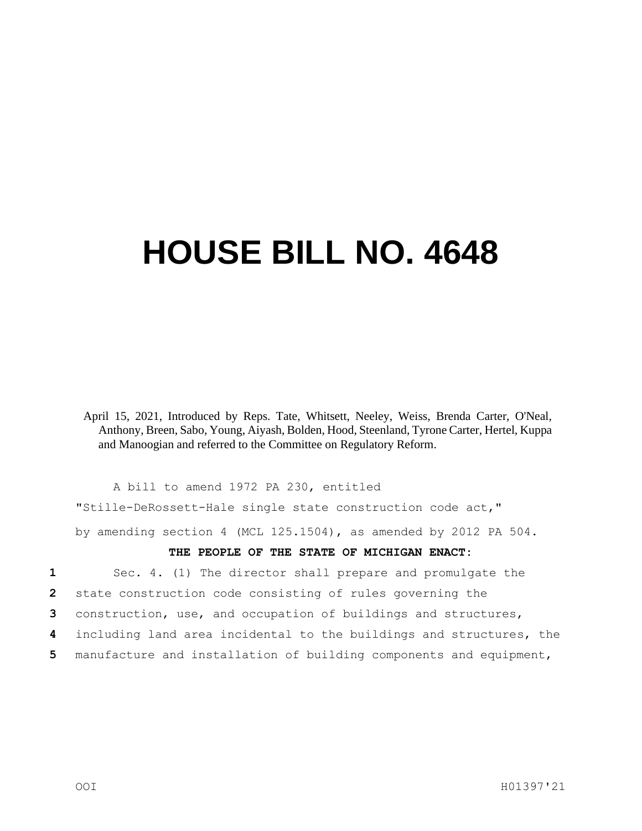## **HOUSE BILL NO. 4648**

April 15, 2021, Introduced by Reps. Tate, Whitsett, Neeley, Weiss, Brenda Carter, O'Neal, Anthony, Breen, Sabo, Young, Aiyash, Bolden, Hood, Steenland, Tyrone Carter, Hertel, Kuppa and Manoogian and referred to the Committee on Regulatory Reform.

A bill to amend 1972 PA 230, entitled

"Stille-DeRossett-Hale single state construction code act,"

by amending section 4 (MCL 125.1504), as amended by 2012 PA 504.

## **THE PEOPLE OF THE STATE OF MICHIGAN ENACT:**

**1** Sec. 4. (1) The director shall prepare and promulgate the **2** state construction code consisting of rules governing the

**3** construction, use, and occupation of buildings and structures,

- **4** including land area incidental to the buildings and structures, the
- **5** manufacture and installation of building components and equipment,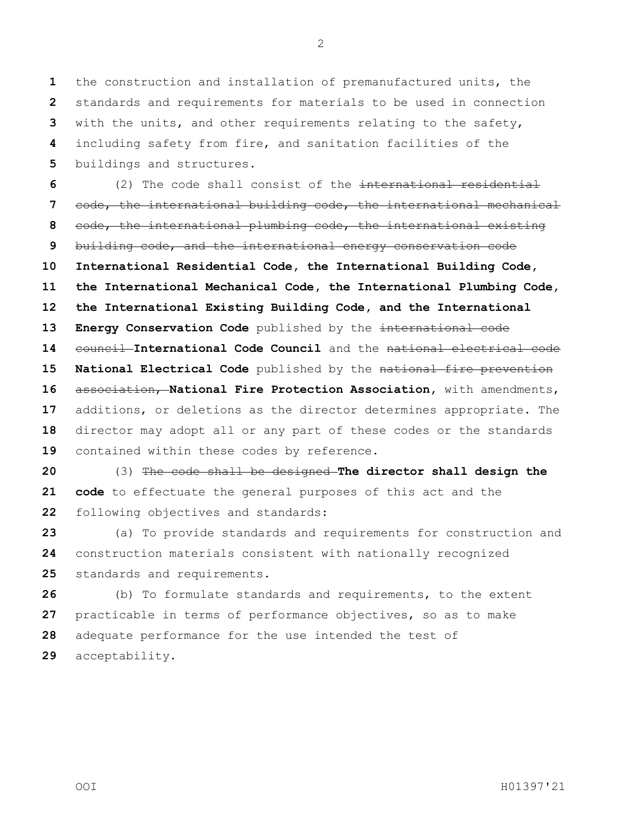the construction and installation of premanufactured units, the standards and requirements for materials to be used in connection with the units, and other requirements relating to the safety, including safety from fire, and sanitation facilities of the buildings and structures.

 (2) The code shall consist of the international residential code, the international building code, the international mechanical code, the international plumbing code, the international existing building code, and the international energy conservation code **International Residential Code, the International Building Code, the International Mechanical Code, the International Plumbing Code, the International Existing Building Code, and the International Energy Conservation Code** published by the international code 14 council International Code Council and the national electrical code **National Electrical Code** published by the national fire prevention association, **National Fire Protection Association,** with amendments, additions, or deletions as the director determines appropriate. The director may adopt all or any part of these codes or the standards contained within these codes by reference.

 (3) The code shall be designed **The director shall design the code** to effectuate the general purposes of this act and the following objectives and standards:

 (a) To provide standards and requirements for construction and construction materials consistent with nationally recognized standards and requirements.

 (b) To formulate standards and requirements, to the extent practicable in terms of performance objectives, so as to make adequate performance for the use intended the test of acceptability.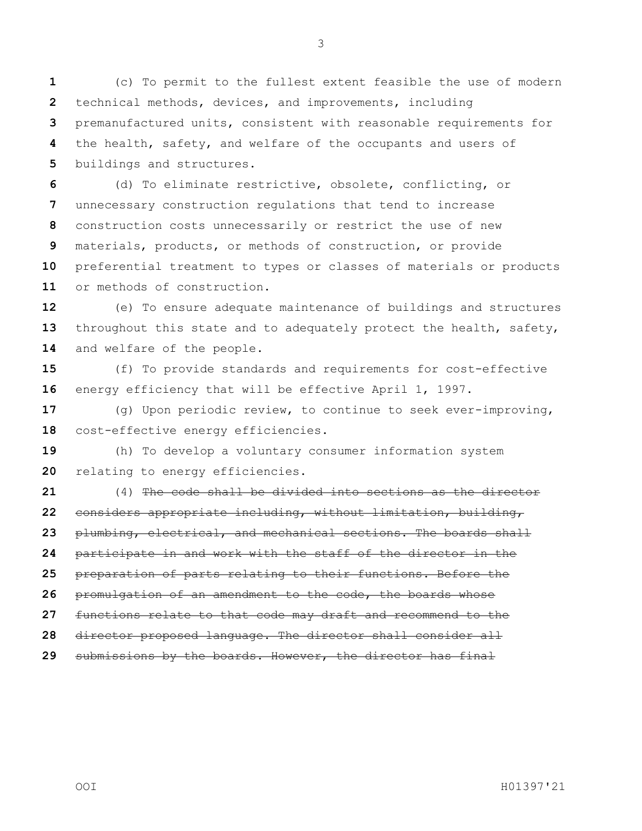(c) To permit to the fullest extent feasible the use of modern technical methods, devices, and improvements, including premanufactured units, consistent with reasonable requirements for the health, safety, and welfare of the occupants and users of buildings and structures.

 (d) To eliminate restrictive, obsolete, conflicting, or unnecessary construction regulations that tend to increase construction costs unnecessarily or restrict the use of new materials, products, or methods of construction, or provide preferential treatment to types or classes of materials or products or methods of construction.

 (e) To ensure adequate maintenance of buildings and structures throughout this state and to adequately protect the health, safety, and welfare of the people.

 (f) To provide standards and requirements for cost-effective energy efficiency that will be effective April 1, 1997.

 (g) Upon periodic review, to continue to seek ever-improving, cost-effective energy efficiencies.

 (h) To develop a voluntary consumer information system relating to energy efficiencies.

 (4) The code shall be divided into sections as the director considers appropriate including, without limitation, building, plumbing, electrical, and mechanical sections. The boards shall participate in and work with the staff of the director in the preparation of parts relating to their functions. Before the promulgation of an amendment to the code, the boards whose functions relate to that code may draft and recommend to the director proposed language. The director shall consider all submissions by the boards. However, the director has final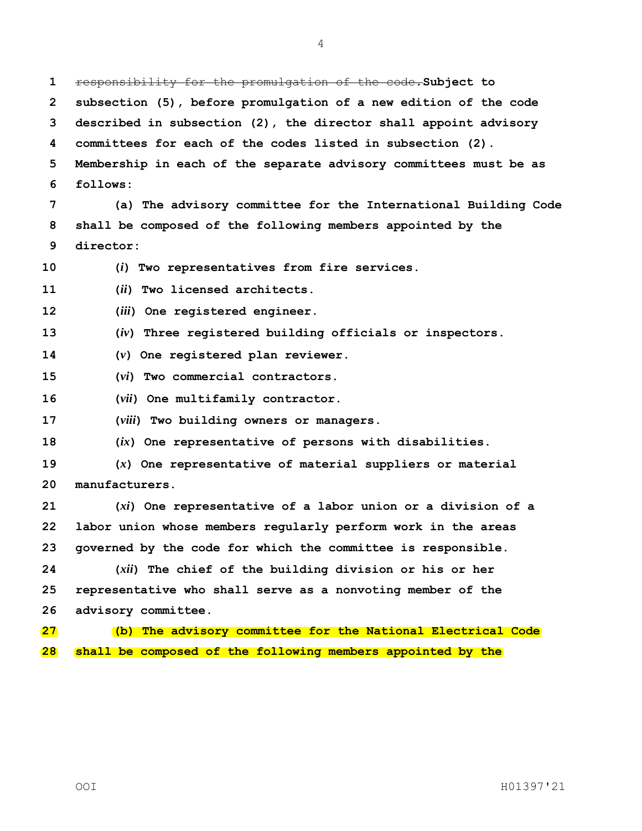responsibility for the promulgation of the code.**Subject to subsection (5), before promulgation of a new edition of the code described in subsection (2), the director shall appoint advisory committees for each of the codes listed in subsection (2). Membership in each of the separate advisory committees must be as follows: (a) The advisory committee for the International Building Code shall be composed of the following members appointed by the director: (***i***) Two representatives from fire services. (***ii***) Two licensed architects. (***iii***) One registered engineer. (***iv***) Three registered building officials or inspectors. (***v***) One registered plan reviewer. (***vi***) Two commercial contractors. (***vii***) One multifamily contractor. (***viii***) Two building owners or managers. (***ix***) One representative of persons with disabilities. (***x***) One representative of material suppliers or material manufacturers. (***xi***) One representative of a labor union or a division of a labor union whose members regularly perform work in the areas governed by the code for which the committee is responsible. (***xii***) The chief of the building division or his or her representative who shall serve as a nonvoting member of the advisory committee. (b) The advisory committee for the National Electrical Code shall be composed of the following members appointed by the**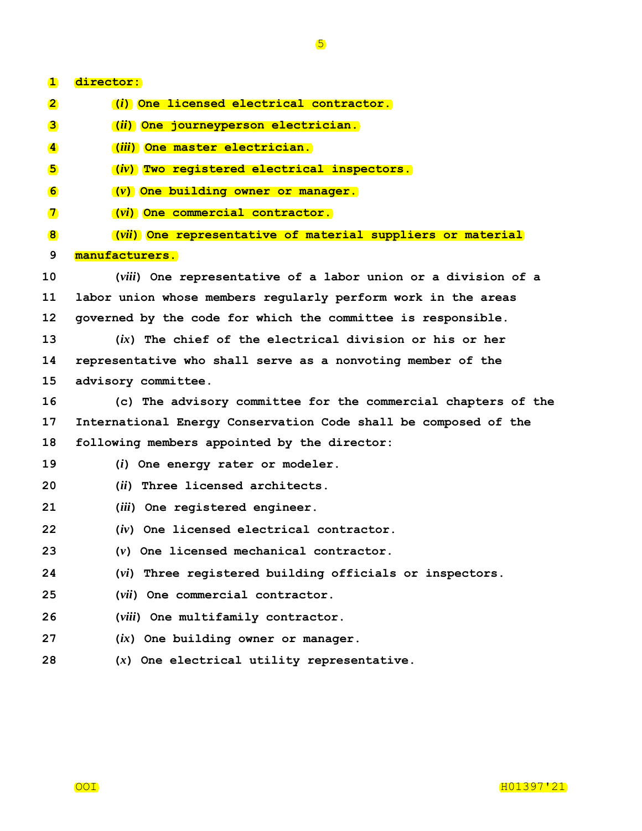| $\mathbf{1}$             | director:                                                       |
|--------------------------|-----------------------------------------------------------------|
| $\mathbf{2}$             | (i) One licensed electrical contractor.                         |
| 3                        | ( <i>ii</i> ) One journeyperson electrician.                    |
|                          | (iii) One master electrician.                                   |
| $\vert \mathbf{4} \vert$ |                                                                 |
| 5                        | (iv) Two registered electrical inspectors.                      |
| 6                        | (v) One building owner or manager.                              |
| $\mathbf{T}$             | (vi) One commercial contractor.                                 |
| 8                        | (vii) One representative of material suppliers or material      |
| 9                        | manufacturers.                                                  |
| 10                       | (viii) One representative of a labor union or a division of a   |
| 11                       | labor union whose members regularly perform work in the areas   |
| 12                       | governed by the code for which the committee is responsible.    |
| 13                       | $(ix)$ The chief of the electrical division or his or her       |
| 14                       | representative who shall serve as a nonvoting member of the     |
| 15                       | advisory committee.                                             |
| 16                       | (c) The advisory committee for the commercial chapters of the   |
| 17                       | International Energy Conservation Code shall be composed of the |
| 18                       | following members appointed by the director:                    |
| 19                       | $(i)$ One energy rater or modeler.                              |
| 20                       | (ii) Three licensed architects.                                 |
| 21                       | (iii) One registered engineer.                                  |
| 22                       | (iv) One licensed electrical contractor.                        |
| 23                       | $(v)$ One licensed mechanical contractor.                       |
| 24                       | (vi) Three registered building officials or inspectors.         |
| 25                       | (vii) One commercial contractor.                                |
| 26                       | (viii) One multifamily contractor.                              |
| 27                       | $(ix)$ One building owner or manager.                           |
| 28                       | $(x)$ One electrical utility representative.                    |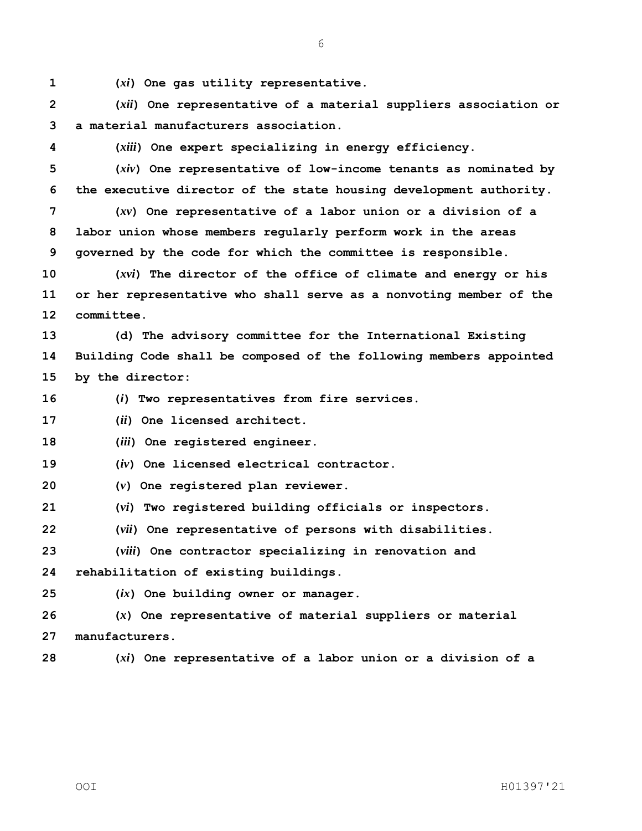**(***xi***) One gas utility representative.**

 **(***xii***) One representative of a material suppliers association or a material manufacturers association.**

**(***xiii***) One expert specializing in energy efficiency.**

 **(***xiv***) One representative of low-income tenants as nominated by the executive director of the state housing development authority.**

 **(***xv***) One representative of a labor union or a division of a labor union whose members regularly perform work in the areas governed by the code for which the committee is responsible.**

 **(***xvi***) The director of the office of climate and energy or his or her representative who shall serve as a nonvoting member of the committee.**

 **(d) The advisory committee for the International Existing Building Code shall be composed of the following members appointed by the director:**

**(***i***) Two representatives from fire services.**

**(***ii***) One licensed architect.**

**(***iii***) One registered engineer.**

**(***iv***) One licensed electrical contractor.**

**(***v***) One registered plan reviewer.**

**(***vi***) Two registered building officials or inspectors.**

**(***vii***) One representative of persons with disabilities.**

**(***viii***) One contractor specializing in renovation and** 

**rehabilitation of existing buildings.**

**(***ix***) One building owner or manager.**

 **(***x***) One representative of material suppliers or material manufacturers.**

**(***xi***) One representative of a labor union or a division of a**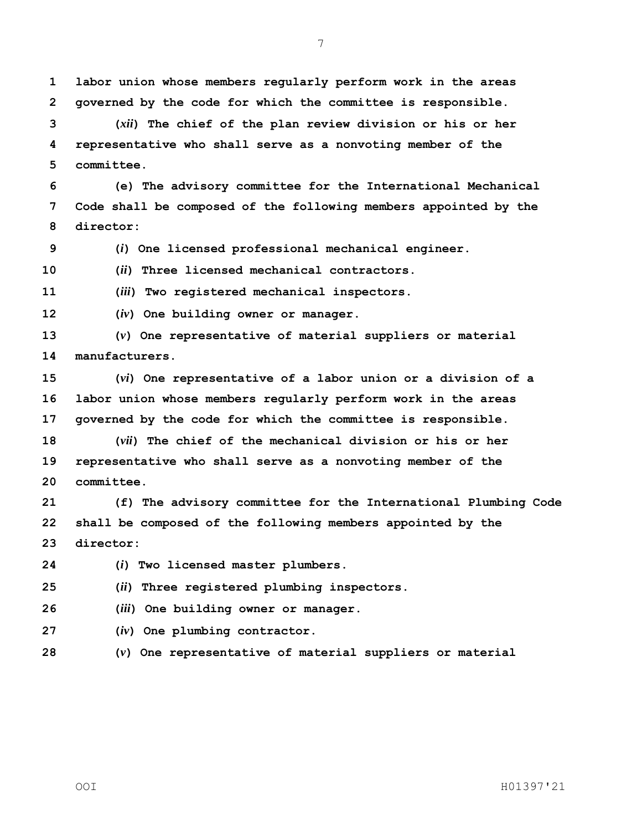**labor union whose members regularly perform work in the areas governed by the code for which the committee is responsible.**

 **(***xii***) The chief of the plan review division or his or her representative who shall serve as a nonvoting member of the committee.**

 **(e) The advisory committee for the International Mechanical Code shall be composed of the following members appointed by the director:**

**(***i***) One licensed professional mechanical engineer.**

**(***ii***) Three licensed mechanical contractors.**

**(***iii***) Two registered mechanical inspectors.**

**(***iv***) One building owner or manager.**

 **(***v***) One representative of material suppliers or material manufacturers.**

 **(***vi***) One representative of a labor union or a division of a labor union whose members regularly perform work in the areas governed by the code for which the committee is responsible.**

 **(***vii***) The chief of the mechanical division or his or her representative who shall serve as a nonvoting member of the committee.**

 **(f) The advisory committee for the International Plumbing Code shall be composed of the following members appointed by the director:**

**(***i***) Two licensed master plumbers.**

**(***ii***) Three registered plumbing inspectors.**

**(***iii***) One building owner or manager.**

**(***iv***) One plumbing contractor.**

**(***v***) One representative of material suppliers or material**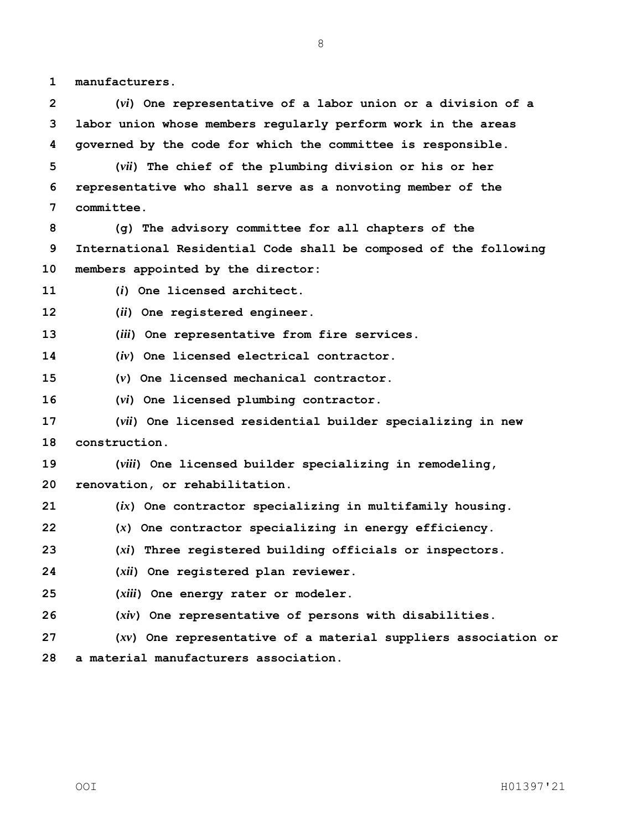**manufacturers.**

 **(***vi***) One representative of a labor union or a division of a labor union whose members regularly perform work in the areas governed by the code for which the committee is responsible.**

 **(***vii***) The chief of the plumbing division or his or her representative who shall serve as a nonvoting member of the committee.**

 **(g) The advisory committee for all chapters of the International Residential Code shall be composed of the following members appointed by the director:**

**(***i***) One licensed architect.**

**(***ii***) One registered engineer.**

**(***iii***) One representative from fire services.**

**(***iv***) One licensed electrical contractor.**

**(***v***) One licensed mechanical contractor.**

**(***vi***) One licensed plumbing contractor.**

 **(***vii***) One licensed residential builder specializing in new construction.**

**(***viii***) One licensed builder specializing in remodeling,** 

**renovation, or rehabilitation.**

**(***ix***) One contractor specializing in multifamily housing.**

**(***x***) One contractor specializing in energy efficiency.**

**(***xi***) Three registered building officials or inspectors.**

- **(***xii***) One registered plan reviewer.**
- **(***xiii***) One energy rater or modeler.**

**(***xiv***) One representative of persons with disabilities.**

 **(***xv***) One representative of a material suppliers association or a material manufacturers association.**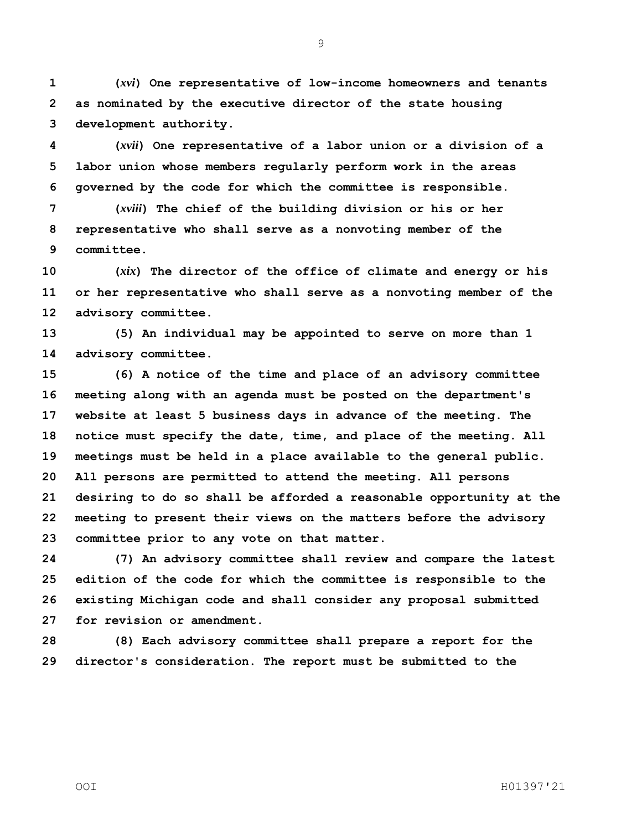**(***xvi***) One representative of low-income homeowners and tenants as nominated by the executive director of the state housing development authority.**

 **(***xvii***) One representative of a labor union or a division of a labor union whose members regularly perform work in the areas governed by the code for which the committee is responsible.**

 **(***xviii***) The chief of the building division or his or her representative who shall serve as a nonvoting member of the committee.**

 **(***xix***) The director of the office of climate and energy or his or her representative who shall serve as a nonvoting member of the advisory committee.**

 **(5) An individual may be appointed to serve on more than 1 advisory committee.**

 **(6) A notice of the time and place of an advisory committee meeting along with an agenda must be posted on the department's website at least 5 business days in advance of the meeting. The notice must specify the date, time, and place of the meeting. All meetings must be held in a place available to the general public. All persons are permitted to attend the meeting. All persons desiring to do so shall be afforded a reasonable opportunity at the meeting to present their views on the matters before the advisory committee prior to any vote on that matter.**

 **(7) An advisory committee shall review and compare the latest edition of the code for which the committee is responsible to the existing Michigan code and shall consider any proposal submitted for revision or amendment.**

 **(8) Each advisory committee shall prepare a report for the director's consideration. The report must be submitted to the**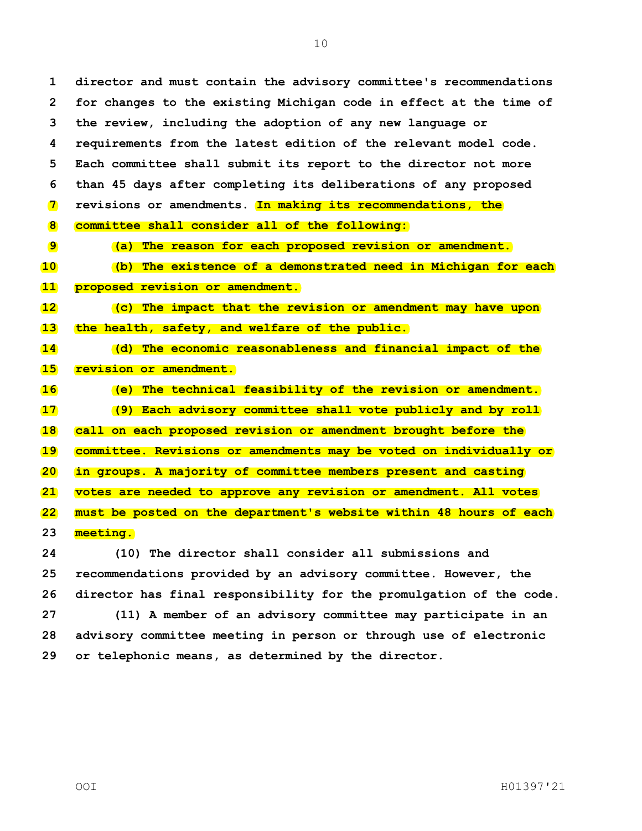**director and must contain the advisory committee's recommendations for changes to the existing Michigan code in effect at the time of the review, including the adoption of any new language or requirements from the latest edition of the relevant model code. Each committee shall submit its report to the director not more than 45 days after completing its deliberations of any proposed revisions or amendments. In making its recommendations, the committee shall consider all of the following: (a) The reason for each proposed revision or amendment. (b) The existence of a demonstrated need in Michigan for each proposed revision or amendment. (c) The impact that the revision or amendment may have upon the health, safety, and welfare of the public. (d) The economic reasonableness and financial impact of the revision or amendment. (e) The technical feasibility of the revision or amendment. (9) Each advisory committee shall vote publicly and by roll call on each proposed revision or amendment brought before the committee. Revisions or amendments may be voted on individually or in groups. A majority of committee members present and casting votes are needed to approve any revision or amendment. All votes must be posted on the department's website within 48 hours of each meeting. (10) The director shall consider all submissions and recommendations provided by an advisory committee. However, the** 

 **director has final responsibility for the promulgation of the code. (11) A member of an advisory committee may participate in an advisory committee meeting in person or through use of electronic or telephonic means, as determined by the director.**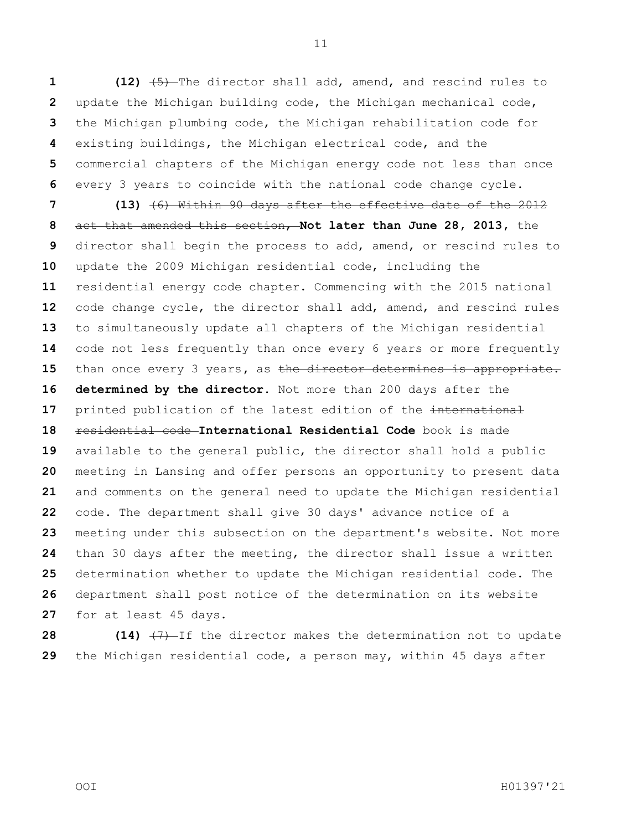**(12)** (5) The director shall add, amend, and rescind rules to update the Michigan building code, the Michigan mechanical code, the Michigan plumbing code, the Michigan rehabilitation code for existing buildings, the Michigan electrical code, and the commercial chapters of the Michigan energy code not less than once every 3 years to coincide with the national code change cycle.

 **(13)** (6) Within 90 days after the effective date of the 2012 act that amended this section, **Not later than June 28, 2013,** the director shall begin the process to add, amend, or rescind rules to update the 2009 Michigan residential code, including the residential energy code chapter. Commencing with the 2015 national code change cycle, the director shall add, amend, and rescind rules to simultaneously update all chapters of the Michigan residential code not less frequently than once every 6 years or more frequently than once every 3 years**,** as the director determines is appropriate. **determined by the director.** Not more than 200 days after the 17 printed publication of the latest edition of the international residential code **International Residential Code** book is made available to the general public, the director shall hold a public meeting in Lansing and offer persons an opportunity to present data and comments on the general need to update the Michigan residential code. The department shall give 30 days' advance notice of a meeting under this subsection on the department's website. Not more than 30 days after the meeting, the director shall issue a written determination whether to update the Michigan residential code. The department shall post notice of the determination on its website for at least 45 days.

**28 (14)**  $\left(7\right)$ -If the director makes the determination not to update the Michigan residential code, a person may, within 45 days after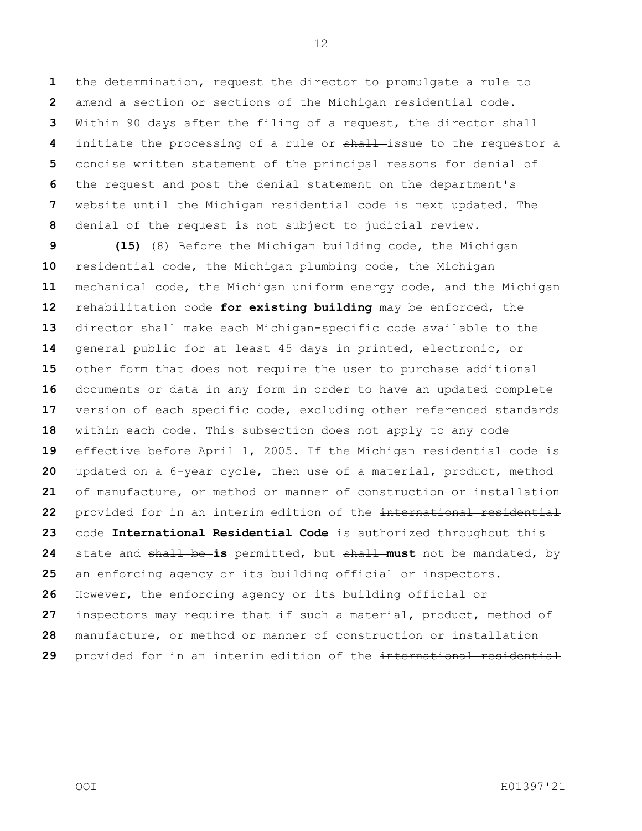the determination, request the director to promulgate a rule to amend a section or sections of the Michigan residential code. Within 90 days after the filing of a request, the director shall initiate the processing of a rule or shall-issue to the requestor a concise written statement of the principal reasons for denial of the request and post the denial statement on the department's website until the Michigan residential code is next updated. The denial of the request is not subject to judicial review.

 **(15)**  $\left(48\right)$ -Before the Michigan building code, the Michigan residential code, the Michigan plumbing code, the Michigan mechanical code, the Michigan uniform energy code, and the Michigan rehabilitation code **for existing building** may be enforced, the director shall make each Michigan-specific code available to the general public for at least 45 days in printed, electronic, or other form that does not require the user to purchase additional documents or data in any form in order to have an updated complete version of each specific code, excluding other referenced standards within each code. This subsection does not apply to any code effective before April 1, 2005. If the Michigan residential code is updated on a 6-year cycle, then use of a material, product, method of manufacture, or method or manner of construction or installation provided for in an interim edition of the international residential 23 code International Residential Code is authorized throughout this state and shall be **is** permitted, but shall **must** not be mandated, by an enforcing agency or its building official or inspectors. However, the enforcing agency or its building official or inspectors may require that if such a material, product, method of manufacture, or method or manner of construction or installation provided for in an interim edition of the international residential